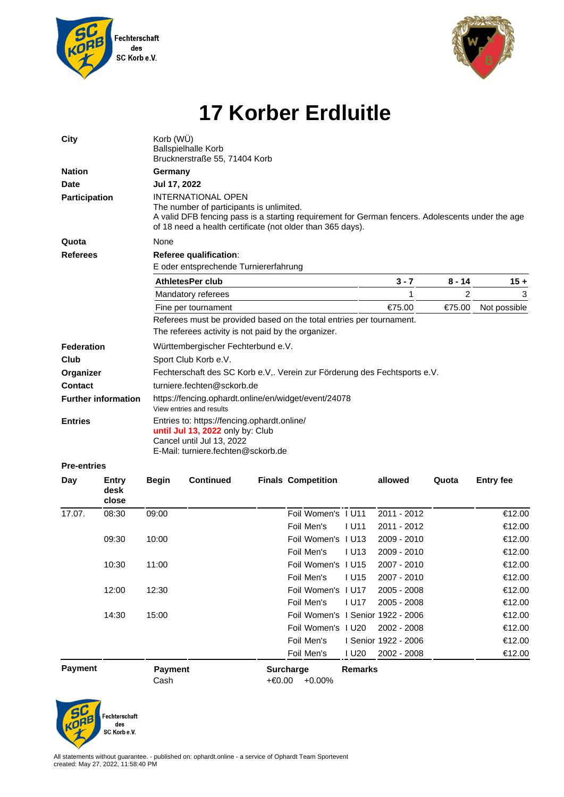



## **17 Korber Erdluitle**

| City                         |                        | Korb (WÜ)<br><b>Ballspielhalle Korb</b><br>Brucknerstraße 55, 71404 Korb                                                                           |                                       |        |                                   |                |                      |          |                  |  |
|------------------------------|------------------------|----------------------------------------------------------------------------------------------------------------------------------------------------|---------------------------------------|--------|-----------------------------------|----------------|----------------------|----------|------------------|--|
| <b>Nation</b><br><b>Date</b> |                        | Germany<br>Jul 17, 2022                                                                                                                            |                                       |        |                                   |                |                      |          |                  |  |
|                              |                        |                                                                                                                                                    |                                       |        |                                   |                |                      |          |                  |  |
| Quota                        |                        | None                                                                                                                                               |                                       |        |                                   |                |                      |          |                  |  |
| <b>Referees</b>              |                        | Referee qualification:                                                                                                                             |                                       |        |                                   |                |                      |          |                  |  |
|                              |                        |                                                                                                                                                    | E oder entsprechende Turniererfahrung |        |                                   |                |                      |          |                  |  |
|                              |                        | AthletesPer club                                                                                                                                   |                                       |        |                                   |                | $3 - 7$              | $8 - 14$ | $15 +$           |  |
|                              |                        | Mandatory referees                                                                                                                                 |                                       |        |                                   |                | 1                    | 2        | 3                |  |
|                              |                        | Fine per tournament                                                                                                                                |                                       |        |                                   |                | €75.00               | €75.00   | Not possible     |  |
|                              |                        | Referees must be provided based on the total entries per tournament.                                                                               |                                       |        |                                   |                |                      |          |                  |  |
|                              |                        | The referees activity is not paid by the organizer.                                                                                                |                                       |        |                                   |                |                      |          |                  |  |
| Federation                   |                        | Württembergischer Fechterbund e.V.                                                                                                                 |                                       |        |                                   |                |                      |          |                  |  |
| Club                         |                        | Sport Club Korb e.V.                                                                                                                               |                                       |        |                                   |                |                      |          |                  |  |
| Organizer                    |                        | Fechterschaft des SC Korb e.V,. Verein zur Förderung des Fechtsports e.V.                                                                          |                                       |        |                                   |                |                      |          |                  |  |
| <b>Contact</b>               |                        | turniere.fechten@sckorb.de                                                                                                                         |                                       |        |                                   |                |                      |          |                  |  |
| <b>Further information</b>   |                        | https://fencing.ophardt.online/en/widget/event/24078<br>View entries and results                                                                   |                                       |        |                                   |                |                      |          |                  |  |
| <b>Entries</b>               |                        | Entries to: https://fencing.ophardt.online/<br>until Jul 13, 2022 only by: Club<br>Cancel until Jul 13, 2022<br>E-Mail: turniere.fechten@sckorb.de |                                       |        |                                   |                |                      |          |                  |  |
| <b>Pre-entries</b>           |                        |                                                                                                                                                    |                                       |        |                                   |                |                      |          |                  |  |
| Day                          | Entry<br>desk<br>close | <b>Begin</b>                                                                                                                                       | <b>Continued</b>                      |        | <b>Finals Competition</b>         |                | allowed              | Quota    | <b>Entry fee</b> |  |
| 17.07.                       | 08:30                  | 09:00                                                                                                                                              |                                       |        | Foil Women's 1 U11                |                | 2011 - 2012          |          | €12.00           |  |
|                              |                        |                                                                                                                                                    |                                       |        | Foil Men's                        | I U11          | 2011 - 2012          |          | €12.00           |  |
|                              | 09:30                  | 10:00                                                                                                                                              |                                       |        | Foil Women's I U13                |                | 2009 - 2010          |          | €12.00           |  |
|                              |                        |                                                                                                                                                    |                                       |        | Foil Men's                        | <b>U13</b>     | $2009 - 2010$        |          | €12.00           |  |
|                              | 10:30                  | 11:00                                                                                                                                              |                                       |        | Foil Women's I U15                |                | 2007 - 2010          |          | €12.00           |  |
|                              |                        |                                                                                                                                                    |                                       |        | Foil Men's                        | <b>IU15</b>    | 2007 - 2010          |          | €12.00           |  |
|                              | 12:00                  | 12:30                                                                                                                                              |                                       |        | Foil Women's I U17                |                | 2005 - 2008          |          | €12.00           |  |
|                              |                        |                                                                                                                                                    |                                       |        | Foil Men's                        | <b>IU17</b>    | 2005 - 2008          |          | €12.00           |  |
|                              | 14:30                  | 15:00                                                                                                                                              |                                       |        | Foil Women's I Senior 1922 - 2006 |                |                      |          | €12.00           |  |
|                              |                        |                                                                                                                                                    |                                       |        | Foil Women's 1 U20                |                | 2002 - 2008          |          | €12.00           |  |
|                              |                        |                                                                                                                                                    |                                       |        | Foil Men's                        |                | I Senior 1922 - 2006 |          | €12.00           |  |
|                              |                        |                                                                                                                                                    |                                       |        | Foil Men's                        | I U20          | 2002 - 2008          |          | €12.00           |  |
| <b>Payment</b>               |                        | <b>Payment</b><br>Cash                                                                                                                             |                                       | +€0.00 | <b>Surcharge</b><br>$+0.00%$      | <b>Remarks</b> |                      |          |                  |  |